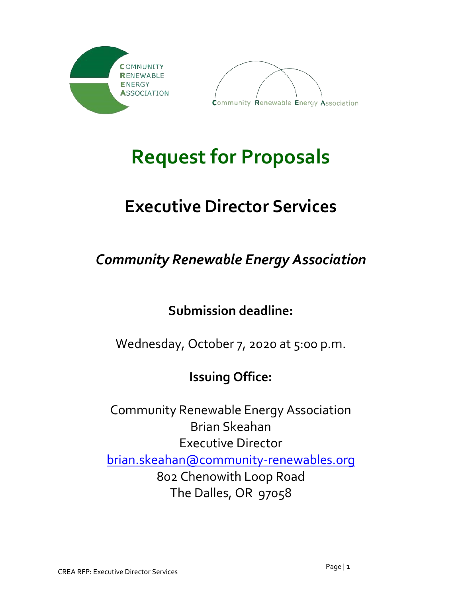



# **Request for Proposals**

## **Executive Director Services**

## *Community Renewable Energy Association*

### **Submission deadline:**

### Wednesday, October 7, 2020 at 5:00 p.m.

### **Issuing Office:**

Community Renewable Energy Association Brian Skeahan Executive Director [brian.skeahan@community-renewables.org](mailto:brian.skeahan@community-renewables.org) 802 Chenowith Loop Road The Dalles, OR 97058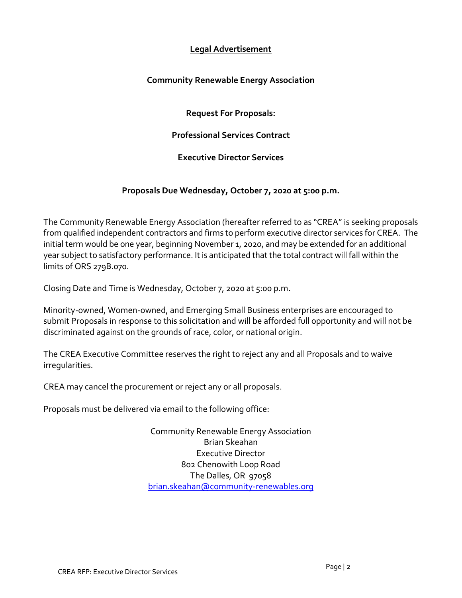#### **Legal Advertisement**

#### **Community Renewable Energy Association**

**Request For Proposals:**

**Professional Services Contract**

**Executive Director Services**

#### **Proposals Due Wednesday, October 7, 2020 at 5:00 p.m.**

The Community Renewable Energy Association (hereafter referred to as "CREA" is seeking proposals from qualified independent contractors and firms to perform executive director services for CREA. The initial term would be one year, beginning November 1, 2020, and may be extended for an additional year subject to satisfactory performance. It is anticipated that the total contract will fall within the limits of ORS 279B.070.

Closing Date and Time is Wednesday, October 7, 2020 at 5:00 p.m.

Minority-owned, Women-owned, and Emerging Small Business enterprises are encouraged to submit Proposals in response to this solicitation and will be afforded full opportunity and will not be discriminated against on the grounds of race, color, or national origin.

The CREA Executive Committee reserves the right to reject any and all Proposals and to waive irregularities.

CREA may cancel the procurement or reject any or all proposals.

Proposals must be delivered via email to the following office:

Community Renewable Energy Association Brian Skeahan Executive Director 802 Chenowith Loop Road The Dalles, OR 97058 [brian.skeahan@community-renewables.org](mailto:brian.skeahan@community-renewables.org)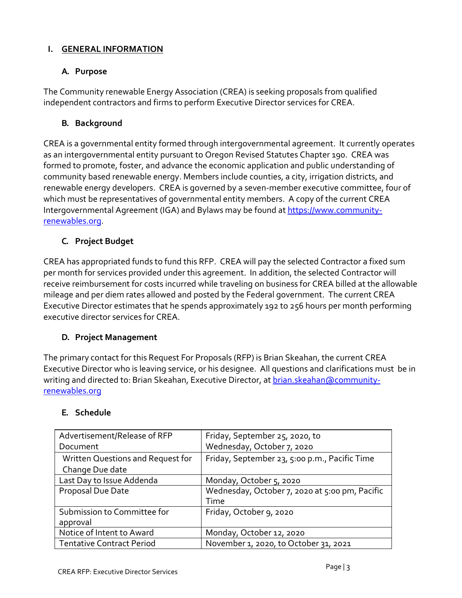#### **I. GENERAL INFORMATION**

#### **A. Purpose**

The Community renewable Energy Association (CREA) is seeking proposals from qualified independent contractors and firms to perform Executive Director services for CREA.

#### **B. Background**

CREA is a governmental entity formed through intergovernmental agreement. It currently operates as an intergovernmental entity pursuant to Oregon Revised Statutes Chapter 190. CREA was formed to promote, foster, and advance the economic application and public understanding of community based renewable energy. Members include counties, a city, irrigation districts, and renewable energy developers. CREA is governed by a seven-member executive committee, four of which must be representatives of governmental entity members. A copy of the current CREA Intergovernmental Agreement (IGA) and Bylaws may be found at [https://www.community](https://www.community-renewables.org/)[renewables.org.](https://www.community-renewables.org/)

#### **C. Project Budget**

CREA has appropriated funds to fund this RFP. CREA will pay the selected Contractor a fixed sum per month for services provided under this agreement. In addition, the selected Contractor will receive reimbursement for costs incurred while traveling on business for CREA billed at the allowable mileage and per diem rates allowed and posted by the Federal government. The current CREA Executive Director estimates that he spends approximately 192 to 256 hours per month performing executive director services for CREA.

#### **D. Project Management**

The primary contact for this Request For Proposals (RFP) is Brian Skeahan, the current CREA Executive Director who is leaving service, or his designee. All questions and clarifications must be in writing and directed to: Brian Skeahan, Executive Director, a[t brian.skeahan@community](mailto:brian.skeahan@community-renewables.org)[renewables.org](mailto:brian.skeahan@community-renewables.org)

#### **E. Schedule**

| Advertisement/Release of RFP      | Friday, September 25, 2020, to                 |
|-----------------------------------|------------------------------------------------|
| Document                          | Wednesday, October 7, 2020                     |
| Written Questions and Request for | Friday, September 23, 5:00 p.m., Pacific Time  |
| Change Due date                   |                                                |
| Last Day to Issue Addenda         | Monday, October 5, 2020                        |
| Proposal Due Date                 | Wednesday, October 7, 2020 at 5:00 pm, Pacific |
|                                   | Time                                           |
| Submission to Committee for       | Friday, October 9, 2020                        |
| approval                          |                                                |
| Notice of Intent to Award         | Monday, October 12, 2020                       |
| <b>Tentative Contract Period</b>  | November 1, 2020, to October 31, 2021          |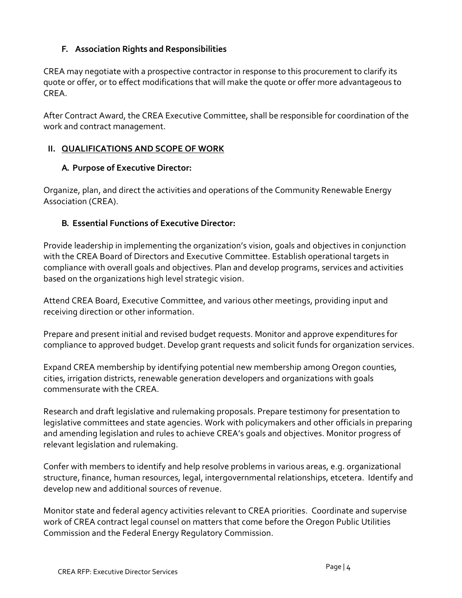#### **F. Association Rights and Responsibilities**

CREA may negotiate with a prospective contractor in response to this procurement to clarify its quote or offer, or to effect modifications that will make the quote or offer more advantageous to CREA.

After Contract Award, the CREA Executive Committee, shall be responsible for coordination of the work and contract management.

#### **II. QUALIFICATIONS AND SCOPE OF WORK**

#### **A. Purpose of Executive Director:**

Organize, plan, and direct the activities and operations of the Community Renewable Energy Association (CREA).

#### **B. Essential Functions of Executive Director:**

Provide leadership in implementing the organization's vision, goals and objectives in conjunction with the CREA Board of Directors and Executive Committee. Establish operational targets in compliance with overall goals and objectives. Plan and develop programs, services and activities based on the organizations high level strategic vision.

Attend CREA Board, Executive Committee, and various other meetings, providing input and receiving direction or other information.

Prepare and present initial and revised budget requests. Monitor and approve expenditures for compliance to approved budget. Develop grant requests and solicit funds for organization services.

Expand CREA membership by identifying potential new membership among Oregon counties, cities, irrigation districts, renewable generation developers and organizations with goals commensurate with the CREA.

Research and draft legislative and rulemaking proposals. Prepare testimony for presentation to legislative committees and state agencies. Work with policymakers and other officials in preparing and amending legislation and rules to achieve CREA's goals and objectives. Monitor progress of relevant legislation and rulemaking.

Confer with members to identify and help resolve problems in various areas, e.g. organizational structure, finance, human resources, legal, intergovernmental relationships, etcetera. Identify and develop new and additional sources of revenue.

Monitor state and federal agency activities relevant to CREA priorities. Coordinate and supervise work of CREA contract legal counsel on matters that come before the Oregon Public Utilities Commission and the Federal Energy Regulatory Commission.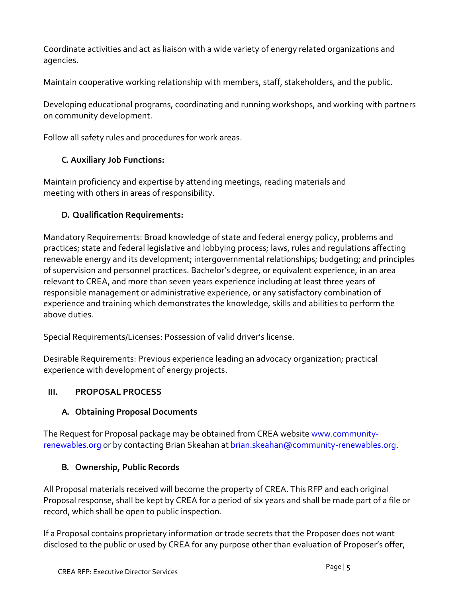Coordinate activities and act as liaison with a wide variety of energy related organizations and agencies.

Maintain cooperative working relationship with members, staff, stakeholders, and the public.

Developing educational programs, coordinating and running workshops, and working with partners on community development.

Follow all safety rules and procedures for work areas.

#### **C. Auxiliary Job Functions:**

Maintain proficiency and expertise by attending meetings, reading materials and meeting with others in areas of responsibility.

#### **D. Qualification Requirements:**

Mandatory Requirements: Broad knowledge of state and federal energy policy, problems and practices; state and federal legislative and lobbying process; laws, rules and regulations affecting renewable energy and its development; intergovernmental relationships; budgeting; and principles of supervision and personnel practices. Bachelor's degree, or equivalent experience, in an area relevant to CREA, and more than seven years experience including at least three years of responsible management or administrative experience, or any satisfactory combination of experience and training which demonstrates the knowledge, skills and abilities to perform the above duties.

Special Requirements/Licenses: Possession of valid driver's license.

Desirable Requirements: Previous experience leading an advocacy organization; practical experience with development of energy projects.

#### **III. PROPOSAL PROCESS**

#### **A. Obtaining Proposal Documents**

The Request for Proposal package may be obtained from CREA websit[e www.community](http://www.community-renewables.org/)[renewables.org](http://www.community-renewables.org/) or by contacting Brian Skeahan a[t brian.skeahan@community-renewables.org.](mailto:brian.skeahan@community-renewables.org)

#### **B. Ownership, Public Records**

All Proposal materials received will become the property of CREA. This RFP and each original Proposal response, shall be kept by CREA for a period of six years and shall be made part of a file or record, which shall be open to public inspection.

If a Proposal contains proprietary information or trade secrets that the Proposer does not want disclosed to the public or used by CREA for any purpose other than evaluation of Proposer's offer,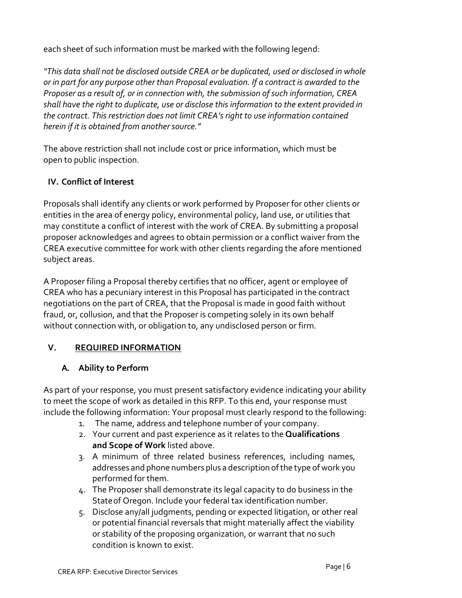each sheet of such information must be marked with the following legend:

*"This data shall not be disclosed outside CREA or be duplicated, used or disclosed in whole or in part for any purpose other than Proposal evaluation. If a contract is awarded to the Proposer as a result of, or in connection with, the submission of such information, CREA shall have the right to duplicate, use or disclose this information to the extent provided in the contract. This restriction does not limit CREA's right to use information contained herein if it is obtained from anothersource."*

The above restriction shall not include cost or price information, which must be open to public inspection.

#### **IV. Conflict of Interest**

Proposals shall identify any clients or work performed by Proposer for other clients or entities in the area of energy policy, environmental policy, land use, or utilities that may constitute a conflict of interest with the work of CREA. By submitting a proposal proposer acknowledges and agrees to obtain permission or a conflict waiver from the CREA executive committee for work with other clients regarding the afore mentioned subject areas.

A Proposer filing a Proposal thereby certifies that no officer, agent or employee of CREA who has a pecuniary interest in this Proposal has participated in the contract negotiations on the part of CREA, that the Proposal is made in good faith without fraud, or, collusion, and that the Proposer is competing solely in its own behalf without connection with, or obligation to, any undisclosed person or firm.

#### **V. REQUIRED INFORMATION**

#### **A. Ability to Perform**

As part of your response, you must present satisfactory evidence indicating your ability to meet the scope of work as detailed in this RFP. To this end, your response must include the following information: Your proposal must clearly respond to the following:

- 1. The name, address and telephone number of your company.
- 2. Your current and past experience as it relates to the **Qualifications and Scope of Work** listed above.
- 3. A minimum of three related business references, including names, addresses and phone numbers plus a description of the type of work you performed for them.
- 4. The Proposer shall demonstrate its legal capacity to do business in the Stateof Oregon. Include your federal tax identification number.
- 5. Disclose any/all judgments, pending or expected litigation, or other real or potential financial reversals that might materially affect the viability or stability of the proposing organization, or warrant that no such condition is known to exist.